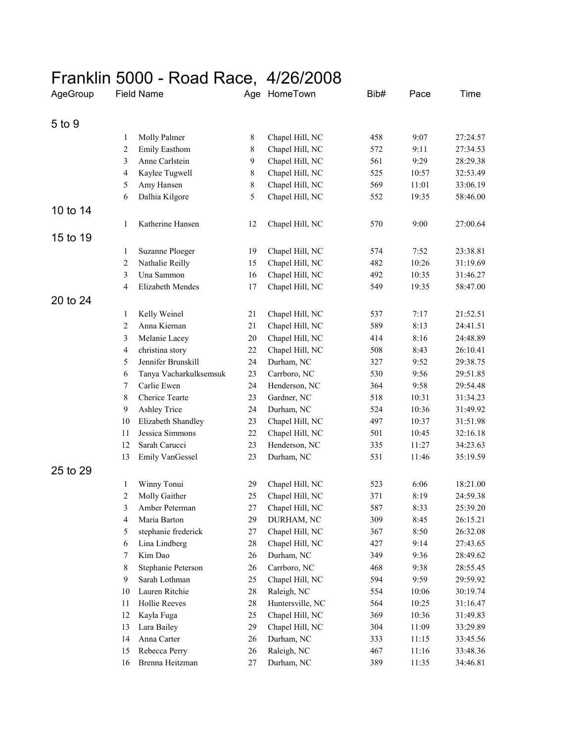## Franklin 5000 - Road Race, 4/26/2008

| AgeGroup | <b>Field Name</b> |                               |        | Age HomeTown                       | Bib# | Pace  | Time                 |
|----------|-------------------|-------------------------------|--------|------------------------------------|------|-------|----------------------|
| 5 to 9   |                   |                               |        |                                    |      |       |                      |
|          | 1                 | Molly Palmer                  | 8      | Chapel Hill, NC                    | 458  | 9:07  | 27:24.57             |
|          | 2                 | Emily Easthom                 | 8      | Chapel Hill, NC                    | 572  | 9:11  | 27:34.53             |
|          | 3                 | Anne Carlstein                | 9      | Chapel Hill, NC                    | 561  | 9:29  | 28:29.38             |
|          | 4                 | Kaylee Tugwell                | 8      | Chapel Hill, NC                    | 525  | 10:57 | 32:53.49             |
|          | 5                 | Amy Hansen                    | 8      | Chapel Hill, NC                    | 569  | 11:01 | 33:06.19             |
|          | 6                 | Dalhia Kilgore                | 5      | Chapel Hill, NC                    | 552  | 19:35 | 58:46.00             |
| 10 to 14 |                   |                               |        |                                    |      |       |                      |
|          | 1                 | Katherine Hansen              | 12     | Chapel Hill, NC                    | 570  | 9:00  | 27:00.64             |
| 15 to 19 |                   |                               |        |                                    |      |       |                      |
|          |                   |                               |        |                                    | 574  | 7:52  | 23:38.81             |
|          | 1                 | Suzanne Ploeger               | 19     | Chapel Hill, NC                    |      |       |                      |
|          | 2                 | Nathalie Reilly<br>Una Sammon | 15     | Chapel Hill, NC<br>Chapel Hill, NC | 482  | 10:26 | 31:19.69             |
|          | 3                 | Elizabeth Mendes              | 16     |                                    | 492  | 10:35 | 31:46.27<br>58:47.00 |
|          | 4                 |                               | 17     | Chapel Hill, NC                    | 549  | 19:35 |                      |
| 20 to 24 |                   |                               |        |                                    |      |       |                      |
|          | 1                 | Kelly Weinel                  | 21     | Chapel Hill, NC                    | 537  | 7:17  | 21:52.51             |
|          | 2                 | Anna Kiernan                  | 21     | Chapel Hill, NC                    | 589  | 8:13  | 24:41.51             |
|          | 3                 | Melanie Lacey                 | 20     | Chapel Hill, NC                    | 414  | 8:16  | 24:48.89             |
|          | 4                 | christina story               | 22     | Chapel Hill, NC                    | 508  | 8:43  | 26:10.41             |
|          | 5                 | Jennifer Brunskill            | 24     | Durham, NC                         | 327  | 9:52  | 29:38.75             |
|          | 6                 | Tanya Vacharkulksemsuk        | 23     | Carrboro, NC                       | 530  | 9:56  | 29:51.85             |
|          | 7                 | Carlie Ewen                   | 24     | Henderson, NC                      | 364  | 9:58  | 29:54.48             |
|          | 8                 | Cherice Tearte                | 23     | Gardner, NC                        | 518  | 10:31 | 31:34.23             |
|          | 9                 | <b>Ashley Trice</b>           | 24     | Durham, NC                         | 524  | 10:36 | 31:49.92             |
|          | 10                | Elizabeth Shandley            | 23     | Chapel Hill, NC                    | 497  | 10:37 | 31:51.98             |
|          | 11                | Jessica Simmons               | 22     | Chapel Hill, NC                    | 501  | 10:45 | 32:16.18             |
|          | 12                | Sarah Carucci                 | 23     | Henderson, NC                      | 335  | 11:27 | 34:23.63             |
|          | 13                | Emily VanGessel               | 23     | Durham, NC                         | 531  | 11:46 | 35:19.59             |
| 25 to 29 |                   |                               |        |                                    |      |       |                      |
|          | 1                 | Winny Tonui                   | 29     | Chapel Hill, NC                    | 523  | 6:06  | 18:21.00             |
|          | 2                 | Molly Gaither                 | 25     | Chapel Hill, NC                    | 371  | 8:19  | 24:59.38             |
|          | 3                 | Amber Peterman                | 27     | Chapel Hill, NC                    | 587  | 8:33  | 25:39.20             |
|          | 4                 | Maria Barton                  | 29     | DURHAM, NC                         | 309  | 8:45  | 26:15.21             |
|          | 5                 | stephanie frederick           | $27\,$ | Chapel Hill, NC                    | 367  | 8:50  | 26:32.08             |
|          | 6                 | Lina Lindberg                 | 28     | Chapel Hill, NC                    | 427  | 9:14  | 27:43.65             |
|          | 7                 | Kim Dao                       | 26     | Durham, NC                         | 349  | 9:36  | 28:49.62             |
|          | 8                 | Stephanie Peterson            | 26     | Carrboro, NC                       | 468  | 9:38  | 28:55.45             |
|          | 9                 | Sarah Lothman                 | 25     | Chapel Hill, NC                    | 594  | 9:59  | 29:59.92             |
|          | 10                | Lauren Ritchie                | $28\,$ | Raleigh, NC                        | 554  | 10:06 | 30:19.74             |
|          | 11                | Hollie Reeves                 | $28\,$ | Huntersville, NC                   | 564  | 10:25 | 31:16.47             |
|          | 12                | Kayla Fuga                    | 25     | Chapel Hill, NC                    | 369  | 10:36 | 31:49.83             |
|          | 13                | Lara Bailey                   | 29     | Chapel Hill, NC                    | 304  | 11:09 | 33:29.89             |
|          | 14                | Anna Carter                   | 26     | Durham, NC                         | 333  | 11:15 | 33:45.56             |
|          | 15                | Rebecca Perry                 | 26     | Raleigh, NC                        | 467  | 11:16 | 33:48.36             |
|          | 16                | Brenna Heitzman               | 27     | Durham, NC                         | 389  | 11:35 | 34:46.81             |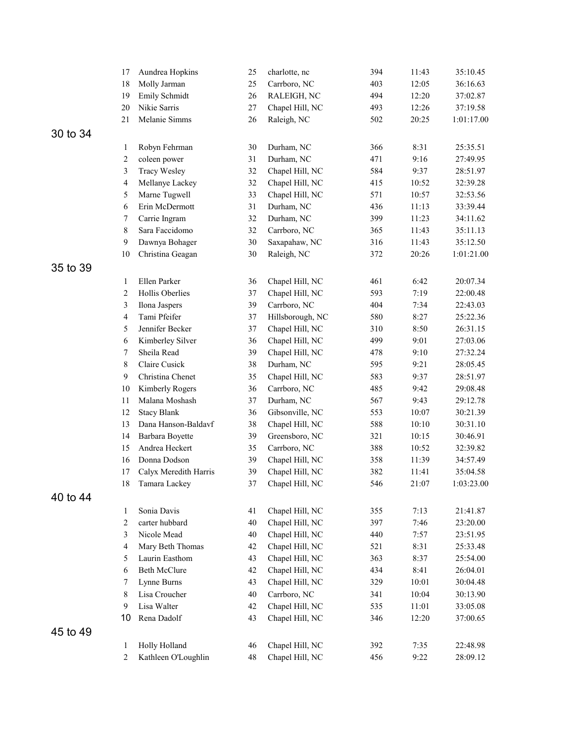|          | 17          | Aundrea Hopkins       | 25     | charlotte, nc    | 394 | 11:43 | 35:10.45   |
|----------|-------------|-----------------------|--------|------------------|-----|-------|------------|
|          | 18          | Molly Jarman          | 25     | Carrboro, NC     | 403 | 12:05 | 36:16.63   |
|          | 19          | Emily Schmidt         | 26     | RALEIGH, NC      | 494 | 12:20 | 37:02.87   |
|          | 20          | Nikie Sarris          | 27     | Chapel Hill, NC  | 493 | 12:26 | 37:19.58   |
|          | 21          | Melanie Simms         | 26     | Raleigh, NC      | 502 | 20:25 | 1:01:17.00 |
| 30 to 34 |             |                       |        |                  |     |       |            |
|          | 1           | Robyn Fehrman         | 30     | Durham, NC       | 366 | 8:31  | 25:35.51   |
|          | 2           | coleen power          | 31     | Durham, NC       | 471 | 9:16  | 27:49.95   |
|          | 3           | <b>Tracy Wesley</b>   | 32     | Chapel Hill, NC  | 584 | 9:37  | 28:51.97   |
|          | 4           | Mellanye Lackey       | 32     | Chapel Hill, NC  | 415 | 10:52 | 32:39.28   |
|          | 5           | Marne Tugwell         | 33     | Chapel Hill, NC  | 571 | 10:57 | 32:53.56   |
|          | 6           | Erin McDermott        | 31     | Durham, NC       | 436 | 11:13 | 33:39.44   |
|          | 7           | Carrie Ingram         | 32     | Durham, NC       | 399 | 11:23 | 34:11.62   |
|          | $\,$ 8 $\,$ | Sara Faccidomo        | 32     | Carrboro, NC     | 365 | 11:43 | 35:11.13   |
|          | 9           | Dawnya Bohager        | 30     | Saxapahaw, NC    | 316 | 11:43 | 35:12.50   |
|          | 10          | Christina Geagan      | 30     | Raleigh, NC      | 372 | 20:26 | 1:01:21.00 |
| 35 to 39 |             |                       |        |                  |     |       |            |
|          | 1           | Ellen Parker          | 36     | Chapel Hill, NC  | 461 | 6:42  | 20:07.34   |
|          | 2           | Hollis Oberlies       | 37     | Chapel Hill, NC  | 593 | 7:19  | 22:00.48   |
|          | 3           | Ilona Jaspers         | 39     | Carrboro, NC     | 404 | 7:34  | 22:43.03   |
|          | 4           | Tami Pfeifer          | 37     | Hillsborough, NC | 580 | 8:27  | 25:22.36   |
|          | 5           | Jennifer Becker       | 37     | Chapel Hill, NC  | 310 | 8:50  | 26:31.15   |
|          | 6           | Kimberley Silver      | 36     | Chapel Hill, NC  | 499 | 9:01  | 27:03.06   |
|          | 7           | Sheila Read           | 39     | Chapel Hill, NC  | 478 | 9:10  | 27:32.24   |
|          | 8           | Claire Cusick         | 38     | Durham, NC       | 595 | 9:21  | 28:05.45   |
|          | 9           | Christina Chenet      | 35     | Chapel Hill, NC  | 583 | 9:37  | 28:51.97   |
|          | 10          | Kimberly Rogers       | 36     | Carrboro, NC     | 485 | 9:42  | 29:08.48   |
|          | 11          | Malana Moshash        | 37     | Durham, NC       | 567 | 9:43  | 29:12.78   |
|          | 12          | <b>Stacy Blank</b>    | 36     | Gibsonville, NC  | 553 | 10:07 | 30:21.39   |
|          | 13          | Dana Hanson-Baldavf   | 38     | Chapel Hill, NC  | 588 | 10:10 | 30:31.10   |
|          | 14          | Barbara Boyette       | 39     | Greensboro, NC   | 321 | 10:15 | 30:46.91   |
|          | 15          | Andrea Heckert        | 35     | Carrboro, NC     | 388 | 10:52 | 32:39.82   |
|          | 16          | Donna Dodson          | 39     | Chapel Hill, NC  | 358 | 11:39 | 34:57.49   |
|          | 17          | Calyx Meredith Harris | 39     | Chapel Hill, NC  | 382 | 11:41 | 35:04.58   |
|          | 18          | Tamara Lackey         | 37     | Chapel Hill, NC  | 546 | 21:07 | 1:03:23.00 |
| 40 to 44 |             |                       |        |                  |     |       |            |
|          | 1           | Sonia Davis           | 41     | Chapel Hill, NC  | 355 | 7:13  | 21:41.87   |
|          | $\sqrt{2}$  | carter hubbard        | $40\,$ | Chapel Hill, NC  | 397 | 7:46  | 23:20.00   |
|          | 3           | Nicole Mead           | 40     | Chapel Hill, NC  | 440 | 7:57  | 23:51.95   |
|          | 4           | Mary Beth Thomas      | 42     | Chapel Hill, NC  | 521 | 8:31  | 25:33.48   |
|          | 5           | Laurin Easthom        | 43     | Chapel Hill, NC  | 363 | 8:37  | 25:54.00   |
|          | 6           | <b>Beth McClure</b>   | 42     | Chapel Hill, NC  | 434 | 8:41  | 26:04.01   |
|          | 7           | Lynne Burns           | 43     | Chapel Hill, NC  | 329 | 10:01 | 30:04.48   |
|          | 8           | Lisa Croucher         | 40     | Carrboro, NC     | 341 | 10:04 | 30:13.90   |
|          | 9           | Lisa Walter           | 42     | Chapel Hill, NC  | 535 | 11:01 | 33:05.08   |
|          | 10          | Rena Dadolf           | 43     | Chapel Hill, NC  | 346 | 12:20 | 37:00.65   |
| 45 to 49 |             |                       |        |                  |     |       |            |
|          | 1           | Holly Holland         | 46     | Chapel Hill, NC  | 392 | 7:35  | 22:48.98   |
|          | 2           | Kathleen O'Loughlin   | 48     | Chapel Hill, NC  | 456 | 9:22  | 28:09.12   |
|          |             |                       |        |                  |     |       |            |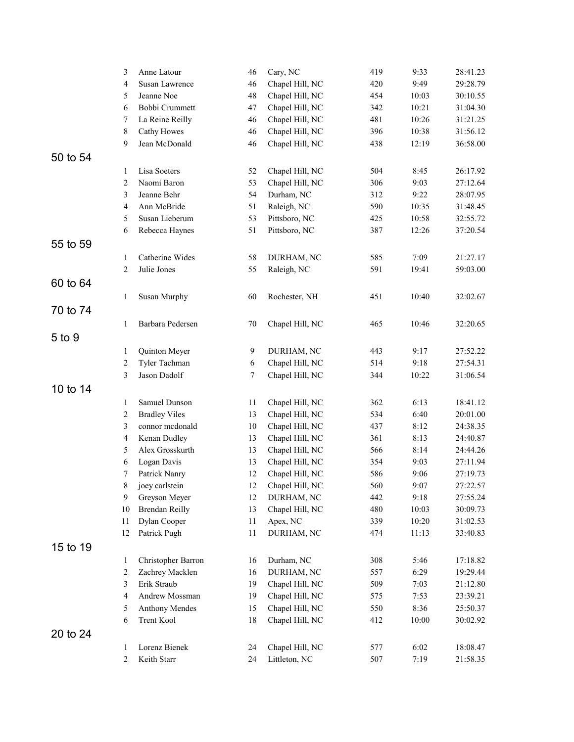|          | 3  | Anne Latour           | 46 | Cary, NC        | 419 | 9:33  | 28:41.23 |
|----------|----|-----------------------|----|-----------------|-----|-------|----------|
|          | 4  | Susan Lawrence        | 46 | Chapel Hill, NC | 420 | 9:49  | 29:28.79 |
|          | 5  | Jeanne Noe            | 48 | Chapel Hill, NC | 454 | 10:03 | 30:10.55 |
|          | 6  | Bobbi Crummett        | 47 | Chapel Hill, NC | 342 | 10:21 | 31:04.30 |
|          | 7  | La Reine Reilly       | 46 | Chapel Hill, NC | 481 | 10:26 | 31:21.25 |
|          | 8  | Cathy Howes           | 46 | Chapel Hill, NC | 396 | 10:38 | 31:56.12 |
|          | 9  | Jean McDonald         | 46 | Chapel Hill, NC | 438 | 12:19 | 36:58.00 |
| 50 to 54 |    |                       |    |                 |     |       |          |
|          | 1  | Lisa Soeters          | 52 | Chapel Hill, NC | 504 | 8:45  | 26:17.92 |
|          | 2  | Naomi Baron           | 53 | Chapel Hill, NC | 306 | 9:03  | 27:12.64 |
|          | 3  | Jeanne Behr           | 54 | Durham, NC      | 312 | 9:22  | 28:07.95 |
|          | 4  | Ann McBride           | 51 | Raleigh, NC     | 590 | 10:35 | 31:48.45 |
|          | 5  | Susan Lieberum        | 53 | Pittsboro, NC   | 425 | 10:58 | 32:55.72 |
|          | 6  | Rebecca Haynes        | 51 | Pittsboro, NC   | 387 | 12:26 | 37:20.54 |
| 55 to 59 |    |                       |    |                 |     |       |          |
|          | 1  | Catherine Wides       | 58 | DURHAM, NC      | 585 | 7:09  | 21:27.17 |
|          | 2  | Julie Jones           | 55 | Raleigh, NC     | 591 | 19:41 | 59:03.00 |
| 60 to 64 |    |                       |    |                 |     |       |          |
|          |    |                       |    |                 |     |       |          |
|          | 1  | Susan Murphy          | 60 | Rochester, NH   | 451 | 10:40 | 32:02.67 |
| 70 to 74 |    |                       |    |                 |     |       |          |
|          | 1  | Barbara Pedersen      | 70 | Chapel Hill, NC | 465 | 10:46 | 32:20.65 |
| 5 to 9   |    |                       |    |                 |     |       |          |
|          | 1  | Quinton Meyer         | 9  | DURHAM, NC      | 443 | 9:17  | 27:52.22 |
|          | 2  | Tyler Tachman         | 6  | Chapel Hill, NC | 514 | 9:18  | 27:54.31 |
|          | 3  | Jason Dadolf          | 7  | Chapel Hill, NC | 344 | 10:22 | 31:06.54 |
| 10 to 14 |    |                       |    |                 |     |       |          |
|          | 1  | Samuel Dunson         | 11 | Chapel Hill, NC | 362 | 6:13  | 18:41.12 |
|          | 2  | <b>Bradley Viles</b>  | 13 | Chapel Hill, NC | 534 | 6:40  | 20:01.00 |
|          | 3  | connor mcdonald       | 10 | Chapel Hill, NC | 437 | 8:12  | 24:38.35 |
|          | 4  | Kenan Dudley          | 13 | Chapel Hill, NC | 361 | 8:13  | 24:40.87 |
|          | 5  | Alex Grosskurth       | 13 | Chapel Hill, NC | 566 | 8:14  | 24:44.26 |
|          | 6  | Logan Davis           | 13 | Chapel Hill, NC | 354 | 9:03  | 27:11.94 |
|          | 7  | Patrick Nanry         | 12 | Chapel Hill, NC | 586 | 9:06  | 27:19.73 |
|          | 8  | joey carlstein        | 12 | Chapel Hill, NC | 560 | 9:07  | 27:22.57 |
|          | 9  | Greyson Meyer         | 12 | DURHAM, NC      | 442 | 9:18  | 27:55.24 |
|          | 10 | <b>Brendan Reilly</b> | 13 | Chapel Hill, NC | 480 | 10:03 | 30:09.73 |
|          | 11 | Dylan Cooper          | 11 | Apex, NC        | 339 | 10:20 | 31:02.53 |
|          | 12 | Patrick Pugh          | 11 | DURHAM, NC      | 474 | 11:13 | 33:40.83 |
| 15 to 19 |    |                       |    |                 |     |       |          |
|          | 1  | Christopher Barron    | 16 | Durham, NC      | 308 | 5:46  | 17:18.82 |
|          | 2  | Zachrey Macklen       | 16 | DURHAM, NC      | 557 | 6:29  | 19:29.44 |
|          | 3  | Erik Straub           | 19 | Chapel Hill, NC | 509 | 7:03  | 21:12.80 |
|          | 4  | Andrew Mossman        | 19 | Chapel Hill, NC | 575 | 7:53  | 23:39.21 |
|          | 5  | <b>Anthony Mendes</b> | 15 | Chapel Hill, NC | 550 | 8:36  | 25:50.37 |
|          | 6  | Trent Kool            | 18 | Chapel Hill, NC | 412 | 10:00 | 30:02.92 |
| 20 to 24 |    |                       |    |                 |     |       |          |
|          | 1  | Lorenz Bienek         | 24 | Chapel Hill, NC | 577 | 6:02  | 18:08.47 |
|          | 2  | Keith Starr           | 24 | Littleton, NC   | 507 | 7:19  | 21:58.35 |
|          |    |                       |    |                 |     |       |          |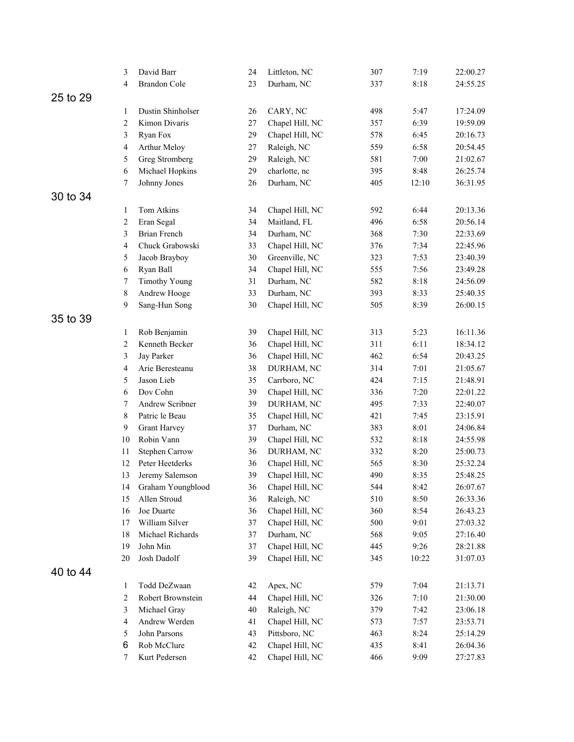|          | 3           | David Barr                      | 24       | Littleton, NC                     | 307        | 7:19         | 22:00.27             |
|----------|-------------|---------------------------------|----------|-----------------------------------|------------|--------------|----------------------|
|          | 4           | <b>Brandon Cole</b>             | 23       | Durham, NC                        | 337        | 8:18         | 24:55.25             |
| 25 to 29 |             |                                 |          |                                   |            |              |                      |
|          | 1           | Dustin Shinholser               | 26       | CARY, NC                          | 498        | 5:47         | 17:24.09             |
|          | 2           | Kimon Divaris                   | 27       | Chapel Hill, NC                   | 357        | 6:39         | 19:59.09             |
|          | 3           | Ryan Fox                        | 29       | Chapel Hill, NC                   | 578        | 6:45         | 20:16.73             |
|          | 4           | Arthur Meloy                    | 27       | Raleigh, NC                       | 559        | 6:58         | 20:54.45             |
|          | 5           | Greg Stromberg                  | 29       | Raleigh, NC                       | 581        | 7:00         | 21:02.67             |
|          | 6           | Michael Hopkins                 | 29       | charlotte, nc                     | 395        | 8:48         | 26:25.74             |
|          | 7           | Johnny Jones                    | 26       | Durham, NC                        | 405        | 12:10        | 36:31.95             |
| 30 to 34 |             |                                 |          |                                   |            |              |                      |
|          |             | Tom Atkins                      |          |                                   | 592        | 6:44         | 20:13.36             |
|          | 1           |                                 | 34       | Chapel Hill, NC                   | 496        | 6:58         | 20:56.14             |
|          | 2           | Eran Segal                      | 34       | Maitland, FL                      |            |              |                      |
|          | 3           | Brian French<br>Chuck Grabowski | 34<br>33 | Durham, NC                        | 368<br>376 | 7:30<br>7:34 | 22:33.69             |
|          | 4           |                                 | 30       | Chapel Hill, NC<br>Greenville, NC | 323        | 7:53         | 22:45.96<br>23:40.39 |
|          | 5           | Jacob Brayboy                   |          |                                   |            |              |                      |
|          | 6           | Ryan Ball                       | 34       | Chapel Hill, NC                   | 555        | 7:56         | 23:49.28             |
|          | 7           | <b>Timothy Young</b>            | 31       | Durham, NC                        | 582        | 8:18         | 24:56.09             |
|          | $\,$ 8 $\,$ | Andrew Hooge                    | 33       | Durham, NC                        | 393        | 8:33         | 25:40.35             |
|          | 9           | Sang-Hun Song                   | 30       | Chapel Hill, NC                   | 505        | 8:39         | 26:00.15             |
| 35 to 39 |             |                                 |          |                                   |            |              |                      |
|          | 1           | Rob Benjamin                    | 39       | Chapel Hill, NC                   | 313        | 5:23         | 16:11.36             |
|          | 2           | Kenneth Becker                  | 36       | Chapel Hill, NC                   | 311        | 6:11         | 18:34.12             |
|          | 3           | Jay Parker                      | 36       | Chapel Hill, NC                   | 462        | 6:54         | 20:43.25             |
|          | 4           | Arie Beresteanu                 | 38       | DURHAM, NC                        | 314        | 7:01         | 21:05.67             |
|          | 5           | Jason Lieb                      | 35       | Carrboro, NC                      | 424        | 7:15         | 21:48.91             |
|          | 6           | Dov Cohn                        | 39       | Chapel Hill, NC                   | 336        | 7:20         | 22:01.22             |
|          | 7           | Andrew Scribner                 | 39       | DURHAM, NC                        | 495        | 7:33         | 22:40.07             |
|          | 8           | Patric le Beau                  | 35       | Chapel Hill, NC                   | 421        | 7:45         | 23:15.91             |
|          | 9           | <b>Grant Harvey</b>             | 37       | Durham, NC                        | 383        | 8:01         | 24:06.84             |
|          | 10          | Robin Vann                      | 39       | Chapel Hill, NC                   | 532        | 8:18         | 24:55.98             |
|          | 11          | <b>Stephen Carrow</b>           | 36       | DURHAM, NC                        | 332        | 8:20         | 25:00.73             |
|          | 12          | Peter Heetderks                 | 36       | Chapel Hill, NC                   | 565        | 8:30         | 25:32.24             |
|          | 13          | Jeremy Salemson                 | 39       | Chapel Hill, NC                   | 490        | 8:35         | 25:48.25             |
|          | 14          | Graham Youngblood               | 36       | Chapel Hill, NC                   | 544        | 8:42         | 26:07.67             |
|          | 15          | Allen Stroud                    | 36       | Raleigh, NC                       | 510        | 8:50         | 26:33.36             |
|          | 16          | Joe Duarte                      | 36       | Chapel Hill, NC                   | 360        | 8:54         | 26:43.23             |
|          | 17          | William Silver                  | 37       | Chapel Hill, NC                   | 500        | 9:01         | 27:03.32             |
|          | 18          | Michael Richards                | 37       | Durham, NC                        | 568        | 9:05         | 27:16.40             |
|          | 19          | John Min                        | 37       | Chapel Hill, NC                   | 445        | 9:26         | 28:21.88             |
|          | 20          | Josh Dadolf                     | 39       | Chapel Hill, NC                   | 345        | 10:22        | 31:07.03             |
| 40 to 44 |             |                                 |          |                                   |            |              |                      |
|          | 1           | Todd DeZwaan                    | 42       | Apex, NC                          | 579        | 7:04         | 21:13.71             |
|          | 2           | Robert Brownstein               | 44       | Chapel Hill, NC                   | 326        | 7:10         | 21:30.00             |
|          | 3           | Michael Gray                    | 40       | Raleigh, NC                       | 379        | 7:42         | 23:06.18             |
|          | 4           | Andrew Werden                   | 41       | Chapel Hill, NC                   | 573        | 7:57         | 23:53.71             |
|          | 5           | John Parsons                    | 43       | Pittsboro, NC                     | 463        | 8:24         | 25:14.29             |
|          | 6           | Rob McClure                     | 42       | Chapel Hill, NC                   | 435        | 8:41         | 26:04.36             |
|          | 7           | Kurt Pedersen                   | 42       | Chapel Hill, NC                   | 466        | 9:09         | 27:27.83             |